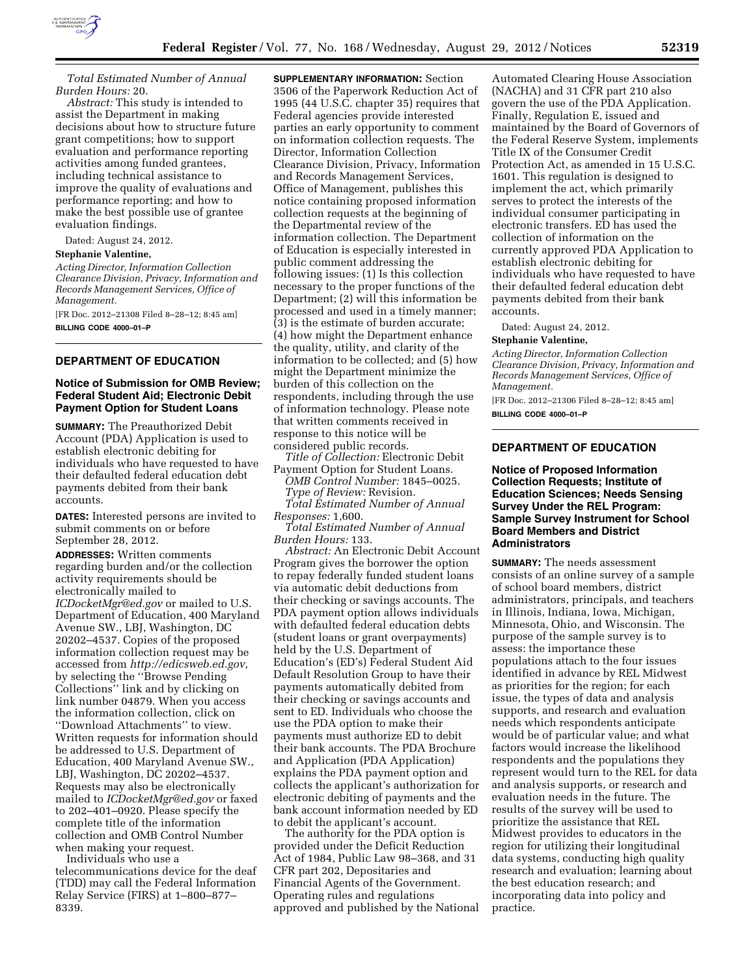

*Total Estimated Number of Annual Burden Hours:* 20.

*Abstract:* This study is intended to assist the Department in making decisions about how to structure future grant competitions; how to support evaluation and performance reporting activities among funded grantees, including technical assistance to improve the quality of evaluations and performance reporting; and how to make the best possible use of grantee evaluation findings.

Dated: August 24, 2012.

**Stephanie Valentine,** 

*Acting Director, Information Collection Clearance Division, Privacy, Information and Records Management Services, Office of Management.* 

[FR Doc. 2012–21308 Filed 8–28–12; 8:45 am] **BILLING CODE 4000–01–P** 

## **DEPARTMENT OF EDUCATION**

### **Notice of Submission for OMB Review; Federal Student Aid; Electronic Debit Payment Option for Student Loans**

**SUMMARY:** The Preauthorized Debit Account (PDA) Application is used to establish electronic debiting for individuals who have requested to have their defaulted federal education debt payments debited from their bank accounts.

**DATES:** Interested persons are invited to submit comments on or before September 28, 2012.

**ADDRESSES:** Written comments regarding burden and/or the collection activity requirements should be electronically mailed to *[ICDocketMgr@ed.gov](mailto:ICDocketMgr@ed.gov)* or mailed to U.S. Department of Education, 400 Maryland Avenue SW., LBJ, Washington, DC 20202–4537. Copies of the proposed information collection request may be accessed from *[http://edicsweb.ed.gov,](http://edicsweb.ed.gov)*  by selecting the ''Browse Pending Collections'' link and by clicking on link number 04879. When you access the information collection, click on ''Download Attachments'' to view. Written requests for information should be addressed to U.S. Department of Education, 400 Maryland Avenue SW., LBJ, Washington, DC 20202–4537. Requests may also be electronically mailed to *[ICDocketMgr@ed.gov](mailto:ICDocketMgr@ed.gov)* or faxed to 202–401–0920. Please specify the complete title of the information collection and OMB Control Number when making your request.

Individuals who use a telecommunications device for the deaf (TDD) may call the Federal Information Relay Service (FIRS) at 1–800–877– 8339.

**SUPPLEMENTARY INFORMATION:** Section 3506 of the Paperwork Reduction Act of 1995 (44 U.S.C. chapter 35) requires that Federal agencies provide interested parties an early opportunity to comment on information collection requests. The Director, Information Collection Clearance Division, Privacy, Information and Records Management Services, Office of Management, publishes this notice containing proposed information collection requests at the beginning of the Departmental review of the information collection. The Department of Education is especially interested in public comment addressing the following issues: (1) Is this collection necessary to the proper functions of the Department; (2) will this information be processed and used in a timely manner; (3) is the estimate of burden accurate; (4) how might the Department enhance the quality, utility, and clarity of the information to be collected; and (5) how might the Department minimize the burden of this collection on the respondents, including through the use of information technology. Please note that written comments received in response to this notice will be considered public records.

*Title of Collection:* Electronic Debit Payment Option for Student Loans.

*OMB Control Number:* 1845–0025. *Type of Review:* Revision. *Total Estimated Number of Annual* 

*Responses:* 1,600. *Total Estimated Number of Annual Burden Hours:* 133.

*Abstract:* An Electronic Debit Account Program gives the borrower the option to repay federally funded student loans via automatic debit deductions from their checking or savings accounts. The PDA payment option allows individuals with defaulted federal education debts (student loans or grant overpayments) held by the U.S. Department of Education's (ED's) Federal Student Aid Default Resolution Group to have their payments automatically debited from their checking or savings accounts and sent to ED. Individuals who choose the use the PDA option to make their payments must authorize ED to debit their bank accounts. The PDA Brochure and Application (PDA Application) explains the PDA payment option and collects the applicant's authorization for electronic debiting of payments and the bank account information needed by ED to debit the applicant's account.

The authority for the PDA option is provided under the Deficit Reduction Act of 1984, Public Law 98–368, and 31 CFR part 202, Depositaries and Financial Agents of the Government. Operating rules and regulations approved and published by the National

Automated Clearing House Association (NACHA) and 31 CFR part 210 also govern the use of the PDA Application. Finally, Regulation E, issued and maintained by the Board of Governors of the Federal Reserve System, implements Title IX of the Consumer Credit Protection Act, as amended in 15 U.S.C. 1601. This regulation is designed to implement the act, which primarily serves to protect the interests of the individual consumer participating in electronic transfers. ED has used the collection of information on the currently approved PDA Application to establish electronic debiting for individuals who have requested to have their defaulted federal education debt payments debited from their bank accounts.

Dated: August 24, 2012.

#### **Stephanie Valentine,**

*Acting Director, Information Collection Clearance Division, Privacy, Information and Records Management Services, Office of Management.* 

[FR Doc. 2012–21306 Filed 8–28–12; 8:45 am]

**BILLING CODE 4000–01–P** 

# **DEPARTMENT OF EDUCATION**

### **Notice of Proposed Information Collection Requests; Institute of Education Sciences; Needs Sensing Survey Under the REL Program: Sample Survey Instrument for School Board Members and District Administrators**

**SUMMARY:** The needs assessment consists of an online survey of a sample of school board members, district administrators, principals, and teachers in Illinois, Indiana, Iowa, Michigan, Minnesota, Ohio, and Wisconsin. The purpose of the sample survey is to assess: the importance these populations attach to the four issues identified in advance by REL Midwest as priorities for the region; for each issue, the types of data and analysis supports, and research and evaluation needs which respondents anticipate would be of particular value; and what factors would increase the likelihood respondents and the populations they represent would turn to the REL for data and analysis supports, or research and evaluation needs in the future. The results of the survey will be used to prioritize the assistance that REL Midwest provides to educators in the region for utilizing their longitudinal data systems, conducting high quality research and evaluation; learning about the best education research; and incorporating data into policy and practice.